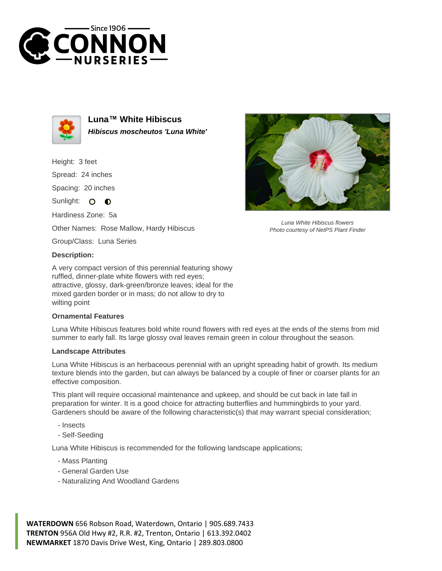



**Luna™ White Hibiscus Hibiscus moscheutos 'Luna White'**

Height: 3 feet Spread: 24 inches Spacing: 20 inches Sunlight: O **O** Hardiness Zone: 5a Other Names: Rose Mallow, Hardy Hibiscus

Group/Class: Luna Series

## **Description:**

A very compact version of this perennial featuring showy ruffled, dinner-plate white flowers with red eyes; attractive, glossy, dark-green/bronze leaves; ideal for the mixed garden border or in mass; do not allow to dry to wilting point

## **Ornamental Features**

Luna White Hibiscus features bold white round flowers with red eyes at the ends of the stems from mid summer to early fall. Its large glossy oval leaves remain green in colour throughout the season.

## **Landscape Attributes**

Luna White Hibiscus is an herbaceous perennial with an upright spreading habit of growth. Its medium texture blends into the garden, but can always be balanced by a couple of finer or coarser plants for an effective composition.

This plant will require occasional maintenance and upkeep, and should be cut back in late fall in preparation for winter. It is a good choice for attracting butterflies and hummingbirds to your yard. Gardeners should be aware of the following characteristic(s) that may warrant special consideration;

- Insects
- Self-Seeding

Luna White Hibiscus is recommended for the following landscape applications;

- Mass Planting
- General Garden Use
- Naturalizing And Woodland Gardens





Luna White Hibiscus flowers Photo courtesy of NetPS Plant Finder